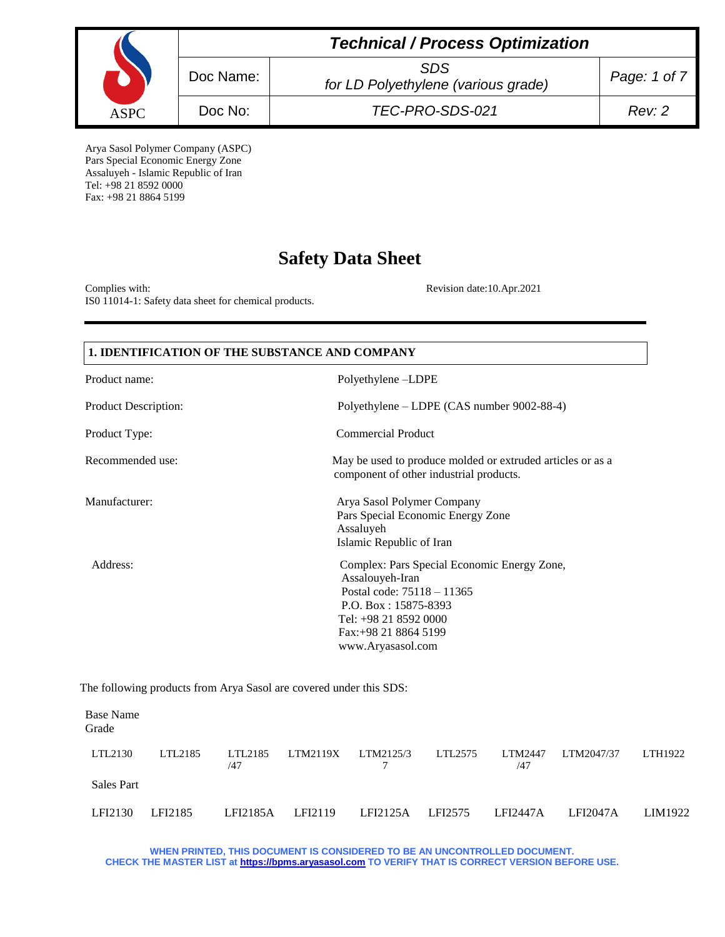|             | <b>Technical / Process Optimization</b> |                                                   |              |  |
|-------------|-----------------------------------------|---------------------------------------------------|--------------|--|
|             | Doc Name:                               | <b>SDS</b><br>for LD Polyethylene (various grade) | Page: 1 of 7 |  |
| <b>ASPC</b> | Doc No:                                 | TEC-PRO-SDS-021                                   | Rev: 2       |  |

Arya Sasol Polymer Company (ASPC) Pars Special Economic Energy Zone Assaluyeh - Islamic Republic of Iran Tel: +98 21 8592 0000 Fax: +98 21 8864 5199

# **Safety Data Sheet**

Complies with: Revision date:10.Apr.2021 IS0 11014-1: Safety data sheet for chemical products.

| 1. IDENTIFICATION OF THE SUBSTANCE AND COMPANY |                                                                                                                                                                                                 |  |
|------------------------------------------------|-------------------------------------------------------------------------------------------------------------------------------------------------------------------------------------------------|--|
| Product name:                                  | Polyethylene-LDPE                                                                                                                                                                               |  |
| Product Description:                           | Polyethylene – LDPE (CAS number 9002-88-4)                                                                                                                                                      |  |
| Product Type:                                  | <b>Commercial Product</b>                                                                                                                                                                       |  |
| Recommended use:                               | May be used to produce molded or extruded articles or as a<br>component of other industrial products.                                                                                           |  |
| Manufacturer:                                  | Arya Sasol Polymer Company<br>Pars Special Economic Energy Zone<br>Assaluyeh<br>Islamic Republic of Iran                                                                                        |  |
| Address:                                       | Complex: Pars Special Economic Energy Zone,<br>Assalouyeh-Iran<br>Postal code: 75118 - 11365<br>P.O. Box: $15875 - 8393$<br>Tel: +98 21 8592 0000<br>Fax: +98 21 8864 5199<br>www.Aryasasol.com |  |

The following products from Arya Sasol are covered under this SDS:

| Base Name<br>Grade |         |                |          |           |         |                       |                 |         |
|--------------------|---------|----------------|----------|-----------|---------|-----------------------|-----------------|---------|
| LTL2130            | LTL2185 | LTL2185<br>/47 | LTM2119X | LTM2125/3 | LTL2575 | <b>LTM2447</b><br>/47 | LTM2047/37      | LTH1922 |
| <b>Sales Part</b>  |         |                |          |           |         |                       |                 |         |
| LFI2130            | LFI2185 | LFI2185A       | LFI2119  | LFI2125A  | LFI2575 | LFI2447A              | <b>LFI2047A</b> | LIM1922 |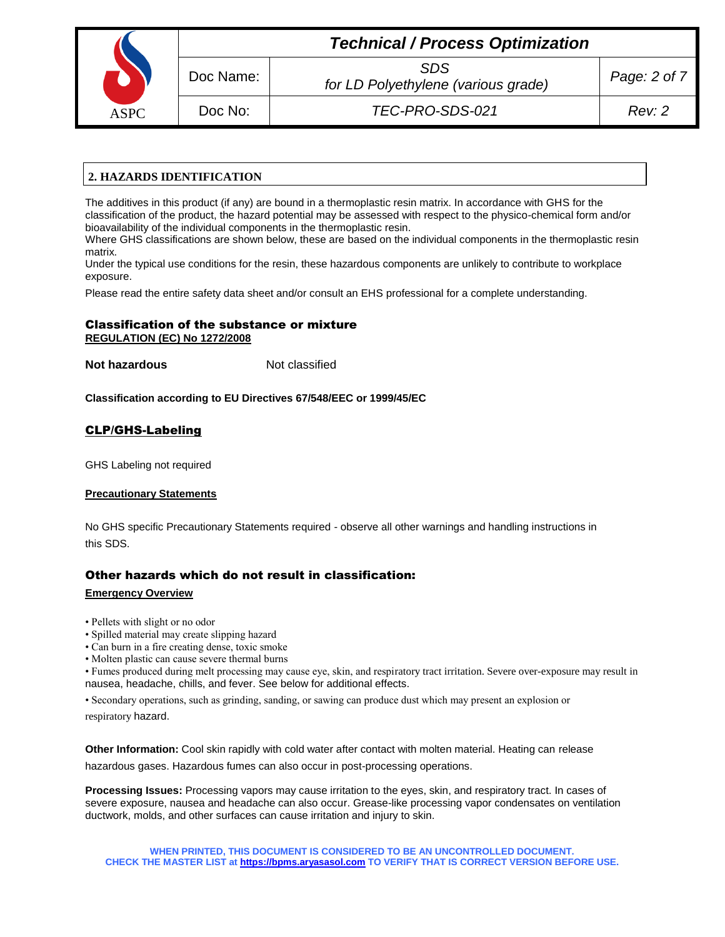| <b>ASPC</b> |
|-------------|

Doc Name: *SDS*

Doc No: *TEC-PRO-SDS-021 Rev: 2*

# **2. HAZARDS IDENTIFICATION**

The additives in this product (if any) are bound in a thermoplastic resin matrix. In accordance with GHS for the classification of the product, the hazard potential may be assessed with respect to the physico-chemical form and/or bioavailability of the individual components in the thermoplastic resin.

Where GHS classifications are shown below, these are based on the individual components in the thermoplastic resin matrix.

Under the typical use conditions for the resin, these hazardous components are unlikely to contribute to workplace exposure.

Please read the entire safety data sheet and/or consult an EHS professional for a complete understanding.

## Classification of the substance or mixture **REGULATION (EC) No 1272/2008**

**Not hazardous** Not classified

**Classification according to EU Directives 67/548/EEC or 1999/45/EC**

## CLP/GHS-Labeling

GHS Labeling not required

#### **Precautionary Statements**

No GHS specific Precautionary Statements required - observe all other warnings and handling instructions in this SDS.

## Other hazards which do not result in classification:

#### **Emergency Overview**

- Pellets with slight or no odor
- Spilled material may create slipping hazard
- Can burn in a fire creating dense, toxic smoke
- Molten plastic can cause severe thermal burns

• Fumes produced during melt processing may cause eye, skin, and respiratory tract irritation. Severe over-exposure may result in nausea, headache, chills, and fever. See below for additional effects.

• Secondary operations, such as grinding, sanding, or sawing can produce dust which may present an explosion or respiratory hazard.

**Other Information:** Cool skin rapidly with cold water after contact with molten material. Heating can release hazardous gases. Hazardous fumes can also occur in post-processing operations.

**Processing Issues:** Processing vapors may cause irritation to the eyes, skin, and respiratory tract. In cases of severe exposure, nausea and headache can also occur. Grease-like processing vapor condensates on ventilation ductwork, molds, and other surfaces can cause irritation and injury to skin.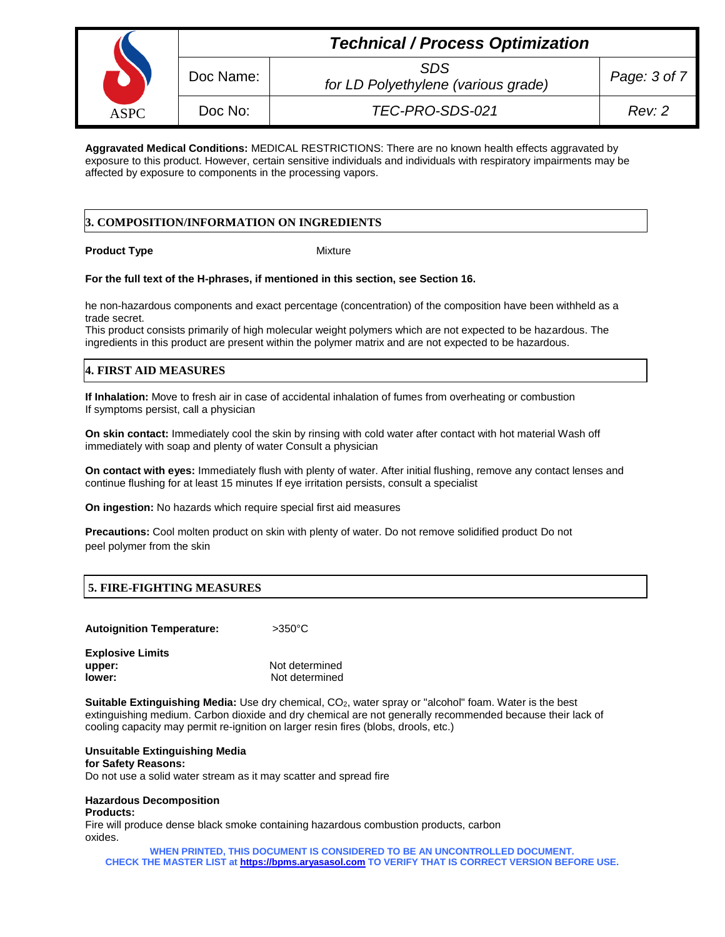|             |           | <b>Technical / Process Optimization</b>           |              |
|-------------|-----------|---------------------------------------------------|--------------|
|             | Doc Name: | <b>SDS</b><br>for LD Polyethylene (various grade) | Page: 3 of 7 |
| <b>ASPC</b> | Doc No:   | TEC-PRO-SDS-021                                   | Rev: 2       |

**Aggravated Medical Conditions:** MEDICAL RESTRICTIONS: There are no known health effects aggravated by exposure to this product. However, certain sensitive individuals and individuals with respiratory impairments may be affected by exposure to components in the processing vapors.

## **3. COMPOSITION/INFORMATION ON INGREDIENTS**

#### **Product Type**  Mixture

#### **For the full text of the H-phrases, if mentioned in this section, see Section 16.**

he non-hazardous components and exact percentage (concentration) of the composition have been withheld as a trade secret.

This product consists primarily of high molecular weight polymers which are not expected to be hazardous. The ingredients in this product are present within the polymer matrix and are not expected to be hazardous.

# **4. FIRST AID MEASURES**

**If Inhalation:** Move to fresh air in case of accidental inhalation of fumes from overheating or combustion If symptoms persist, call a physician

**On skin contact:** Immediately cool the skin by rinsing with cold water after contact with hot material Wash off immediately with soap and plenty of water Consult a physician

**On contact with eyes:** Immediately flush with plenty of water. After initial flushing, remove any contact lenses and continue flushing for at least 15 minutes If eye irritation persists, consult a specialist

**On ingestion:** No hazards which require special first aid measures

**Precautions:** Cool molten product on skin with plenty of water. Do not remove solidified product Do not peel polymer from the skin

## **5. FIRE-FIGHTING MEASURES**

**Autoignition Temperature:** >350°C

**Explosive Limits upper:** Not determined **lower:** Not determined

**Suitable Extinguishing Media:** Use dry chemical, CO<sub>2</sub>, water spray or "alcohol" foam. Water is the best extinguishing medium. Carbon dioxide and dry chemical are not generally recommended because their lack of cooling capacity may permit re-ignition on larger resin fires (blobs, drools, etc.)

#### **Unsuitable Extinguishing Media**

**for Safety Reasons:**

Do not use a solid water stream as it may scatter and spread fire

## **Hazardous Decomposition**

**Products:**

Fire will produce dense black smoke containing hazardous combustion products, carbon oxides.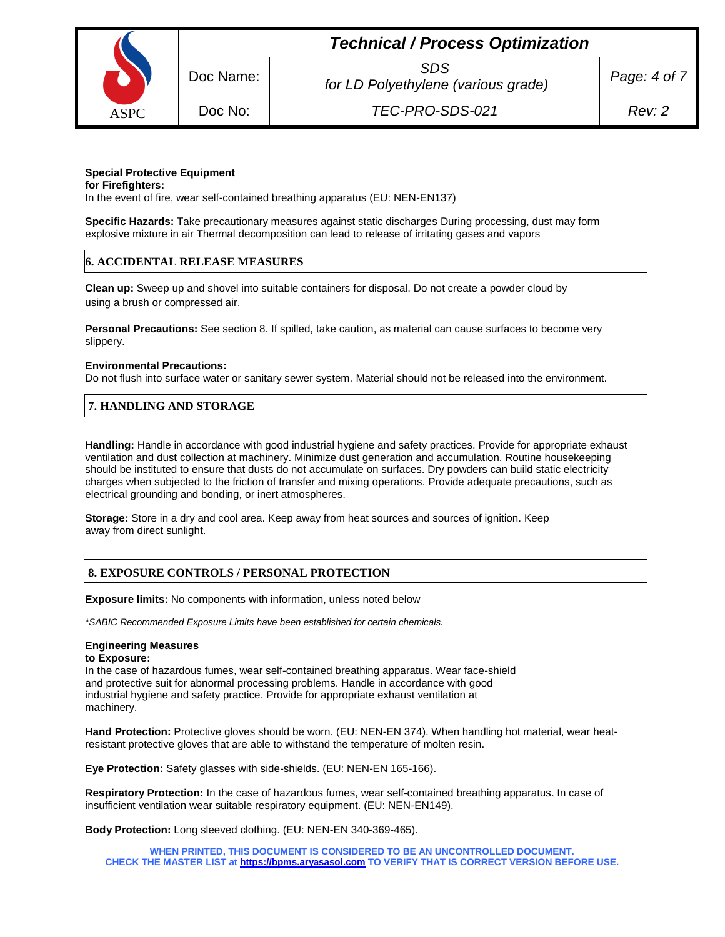

# *Technical / Process Optimization*

*for LD Polyethylene (various grade) Page: 4 of 7*

Doc No: *TEC-PRO-SDS-021 Rev: 2*

#### **Special Protective Equipment**

**for Firefighters:** In the event of fire, wear self-contained breathing apparatus (EU: NEN-EN137)

**Specific Hazards:** Take precautionary measures against static discharges During processing, dust may form explosive mixture in air Thermal decomposition can lead to release of irritating gases and vapors

### **6. ACCIDENTAL RELEASE MEASURES**

**Clean up:** Sweep up and shovel into suitable containers for disposal. Do not create a powder cloud by using a brush or compressed air.

**Personal Precautions:** See section 8. If spilled, take caution, as material can cause surfaces to become very slippery.

#### **Environmental Precautions:**

Do not flush into surface water or sanitary sewer system. Material should not be released into the environment.

## **7. HANDLING AND STORAGE**

**Handling:** Handle in accordance with good industrial hygiene and safety practices. Provide for appropriate exhaust ventilation and dust collection at machinery. Minimize dust generation and accumulation. Routine housekeeping should be instituted to ensure that dusts do not accumulate on surfaces. Dry powders can build static electricity charges when subjected to the friction of transfer and mixing operations. Provide adequate precautions, such as electrical grounding and bonding, or inert atmospheres.

**Storage:** Store in a dry and cool area. Keep away from heat sources and sources of ignition. Keep away from direct sunlight.

## **8. EXPOSURE CONTROLS / PERSONAL PROTECTION**

**Exposure limits:** No components with information, unless noted below

*\*SABIC Recommended Exposure Limits have been established for certain chemicals.*

#### **Engineering Measures**

#### **to Exposure:**

In the case of hazardous fumes, wear self-contained breathing apparatus. Wear face-shield and protective suit for abnormal processing problems. Handle in accordance with good industrial hygiene and safety practice. Provide for appropriate exhaust ventilation at machinery.

**Hand Protection:** Protective gloves should be worn. (EU: NEN-EN 374). When handling hot material, wear heatresistant protective gloves that are able to withstand the temperature of molten resin.

**Eye Protection:** Safety glasses with side-shields. (EU: NEN-EN 165-166).

**Respiratory Protection:** In the case of hazardous fumes, wear self-contained breathing apparatus. In case of insufficient ventilation wear suitable respiratory equipment. (EU: NEN-EN149).

**Body Protection:** Long sleeved clothing. (EU: NEN-EN 340-369-465).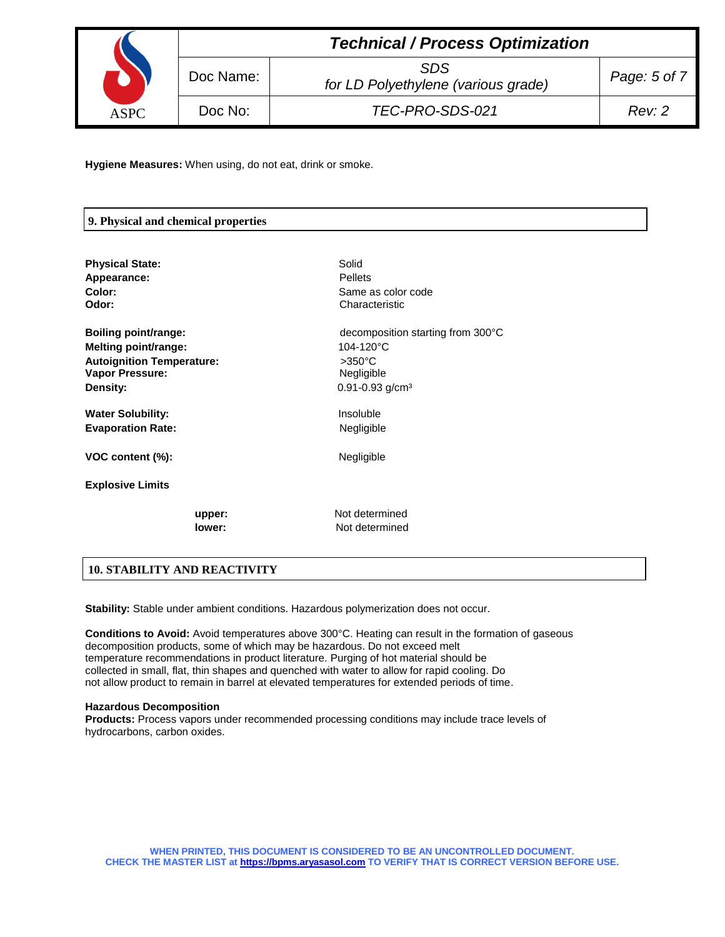|             | <b>Technical / Process Optimization</b> |                                                   |              |  |
|-------------|-----------------------------------------|---------------------------------------------------|--------------|--|
|             | Doc Name:                               | <b>SDS</b><br>for LD Polyethylene (various grade) | Page: 5 of 7 |  |
| <b>ASPC</b> | Doc No:                                 | TEC-PRO-SDS-021                                   | Rev: 2       |  |

**Hygiene Measures:** When using, do not eat, drink or smoke.

## **9. Physical and chemical properties**

| <b>Physical State:</b>           | Solid                             |
|----------------------------------|-----------------------------------|
| Appearance:                      | <b>Pellets</b>                    |
| Color:                           | Same as color code                |
| Odor:                            | Characteristic                    |
| Boiling point/range:             | decomposition starting from 300°C |
| <b>Melting point/range:</b>      | 104-120°C                         |
| <b>Autoignition Temperature:</b> | $>350^{\circ}$ C                  |
| <b>Vapor Pressure:</b>           | Negligible                        |
| Density:                         | $0.91 - 0.93$ g/cm <sup>3</sup>   |
| <b>Water Solubility:</b>         | Insoluble                         |
| <b>Evaporation Rate:</b>         | Negligible                        |
| VOC content (%):                 | Negligible                        |
| <b>Explosive Limits</b>          |                                   |
| upper:                           | Not determined                    |
| lower:                           | Not determined                    |

## **10. STABILITY AND REACTIVITY**

**Stability:** Stable under ambient conditions. Hazardous polymerization does not occur.

**Conditions to Avoid:** Avoid temperatures above 300°C. Heating can result in the formation of gaseous decomposition products, some of which may be hazardous. Do not exceed melt temperature recommendations in product literature. Purging of hot material should be collected in small, flat, thin shapes and quenched with water to allow for rapid cooling. Do not allow product to remain in barrel at elevated temperatures for extended periods of time.

#### **Hazardous Decomposition**

**Products:** Process vapors under recommended processing conditions may include trace levels of hydrocarbons, carbon oxides.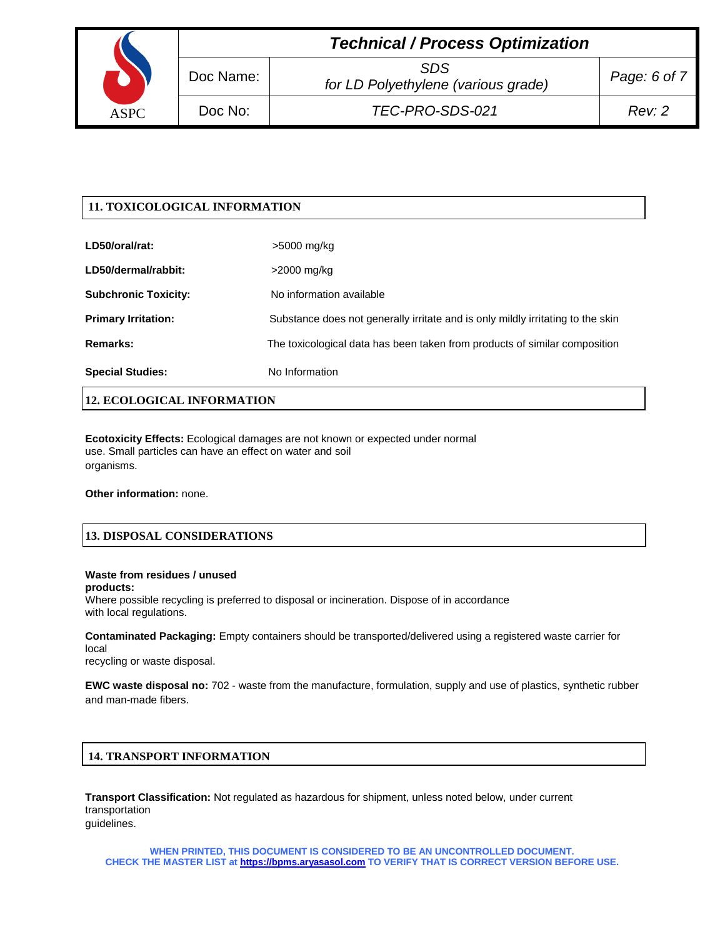|             |           | <b>Technical / Process Optimization</b>           |              |
|-------------|-----------|---------------------------------------------------|--------------|
|             | Doc Name: | <b>SDS</b><br>for LD Polyethylene (various grade) | Page: 6 of 7 |
| <b>ASPC</b> | Doc No:   | TEC-PRO-SDS-021                                   | Rev: 2       |

## **11. TOXICOLOGICAL INFORMATION**

| <b>Special Studies:</b>     | No Information                                                                  |
|-----------------------------|---------------------------------------------------------------------------------|
| Remarks:                    | The toxicological data has been taken from products of similar composition      |
| <b>Primary Irritation:</b>  | Substance does not generally irritate and is only mildly irritating to the skin |
| <b>Subchronic Toxicity:</b> | No information available                                                        |
| LD50/dermal/rabbit:         | >2000 mg/kg                                                                     |
| LD50/oral/rat:              | >5000 mg/kg                                                                     |

# **12. ECOLOGICAL INFORMATION**

**Ecotoxicity Effects:** Ecological damages are not known or expected under normal use. Small particles can have an effect on water and soil organisms.

**Other information:** none.

## **13. DISPOSAL CONSIDERATIONS**

### **Waste from residues / unused products:**

Where possible recycling is preferred to disposal or incineration. Dispose of in accordance with local regulations.

**Contaminated Packaging:** Empty containers should be transported/delivered using a registered waste carrier for local

recycling or waste disposal.

**EWC waste disposal no:** 702 - waste from the manufacture, formulation, supply and use of plastics, synthetic rubber and man-made fibers.

## **14. TRANSPORT INFORMATION**

**Transport Classification:** Not regulated as hazardous for shipment, unless noted below, under current transportation guidelines.